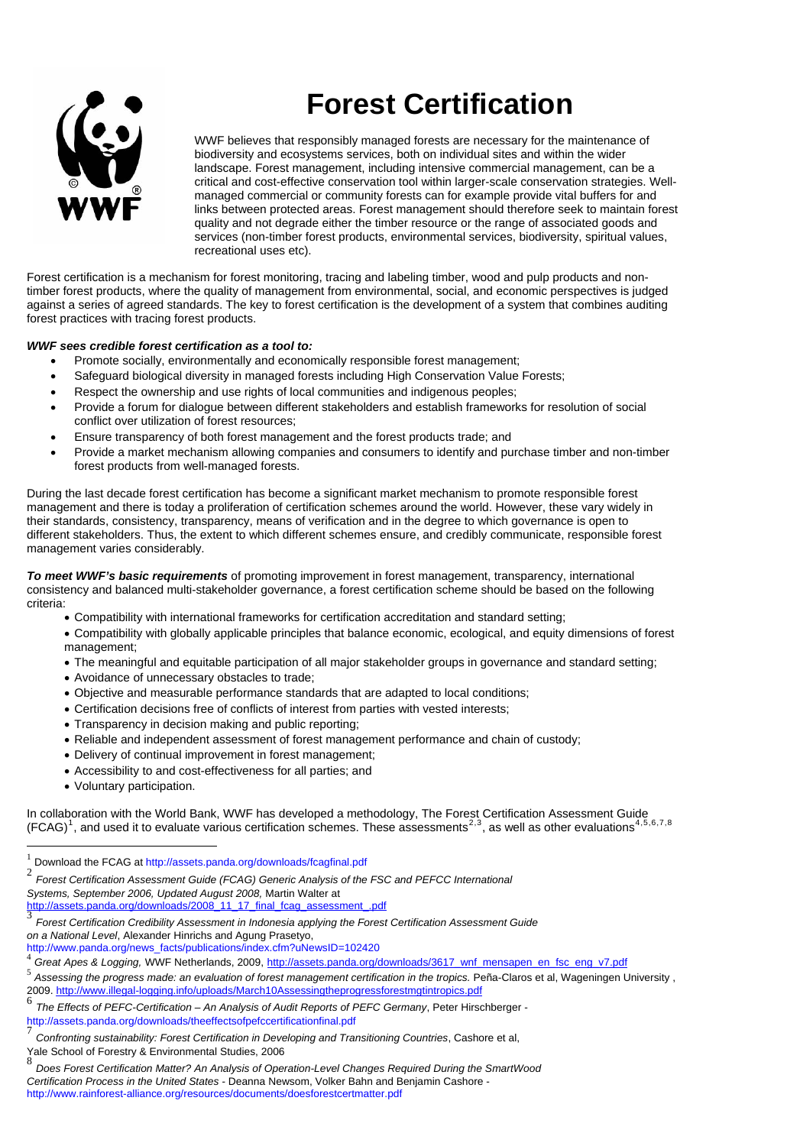

## **Forest Certification**

WWF believes that responsibly managed forests are necessary for the maintenance of biodiversity and ecosystems services, both on individual sites and within the wider landscape. Forest management, including intensive commercial management, can be a critical and cost-effective conservation tool within larger-scale conservation strategies. Wellmanaged commercial or community forests can for example provide vital buffers for and links between protected areas. Forest management should therefore seek to maintain forest quality and not degrade either the timber resource or the range of associated goods and services (non-timber forest products, environmental services, biodiversity, spiritual values, recreational uses etc).

Forest certification is a mechanism for forest monitoring, tracing and labeling timber, wood and pulp products and nontimber forest products, where the quality of management from environmental, social, and economic perspectives is judged against a series of agreed standards. The key to forest certification is the development of a system that combines auditing forest practices with tracing forest products.

## *WWF sees credible forest certification as a tool to:*

- Promote socially, environmentally and economically responsible forest management;
- Safeguard biological diversity in managed forests including High Conservation Value Forests;
- Respect the ownership and use rights of local communities and indigenous peoples;
- Provide a forum for dialogue between different stakeholders and establish frameworks for resolution of social conflict over utilization of forest resources;
- Ensure transparency of both forest management and the forest products trade; and
- Provide a market mechanism allowing companies and consumers to identify and purchase timber and non-timber forest products from well-managed forests.

During the last decade forest certification has become a significant market mechanism to promote responsible forest management and there is today a proliferation of certification schemes around the world. However, these vary widely in their standards, consistency, transparency, means of verification and in the degree to which governance is open to different stakeholders. Thus, the extent to which different schemes ensure, and credibly communicate, responsible forest management varies considerably.

*To meet WWF's basic requirements* of promoting improvement in forest management, transparency, international consistency and balanced multi-stakeholder governance, a forest certification scheme should be based on the following criteria:

- Compatibility with international frameworks for certification accreditation and standard setting;
- Compatibility with globally applicable principles that balance economic, ecological, and equity dimensions of forest management;
- The meaningful and equitable participation of all major stakeholder groups in governance and standard setting;
- Avoidance of unnecessary obstacles to trade;
- Objective and measurable performance standards that are adapted to local conditions;
- Certification decisions free of conflicts of interest from parties with vested interests;
- Transparency in decision making and public reporting;
- Reliable and independent assessment of forest management performance and chain of custody;
- Delivery of continual improvement in forest management;
- Accessibility to and cost-effectiveness for all parties; and
- Voluntary participation.

 $\overline{a}$ 

In collaboration with the World Bank, WWF has developed a methodology, The Forest Certification Assessment Guide (FCAG)<sup>[1](#page-0-0)</sup>, and used it to evaluate various certification schemes. These assessments<sup>[2](#page-0-1),[3](#page-0-2)</sup>, as well as other evaluations<sup>[4](#page-0-3),[5](#page-0-4),[6](#page-0-5),[7](#page-0-6),8</sup>

<span id="page-0-0"></span>Download the FCAG at http://assets.panda.org/downloads/fcagfinal.pdf

<span id="page-0-1"></span><sup>2</sup> *Forest Certification Assessment Guide (FCAG) Generic Analysis of the FSC and PEFCC International Systems, September 2006, Updated August 2008,* Martin Walter at

<span id="page-0-2"></span>[http://assets.panda.org/downloads/2008\\_11\\_17\\_final\\_fcag\\_assessment\\_.pdf](http://assets.panda.org/downloads/2008_11_17_final_fcag_assessment_.pdf)<br>3 Ferret Certification Cradibility Assessment in Independence problem the Ferret <sup>3</sup> *Forest Certification Credibility Assessment in Indonesia applying the Forest Certification Assessment Guide* 

on a National Level, Alexander Hinrichs and Agung Prasetyo,<br>http://www.panda.org/news\_facts/publications/index.cfm?uNewsID=102420

<span id="page-0-3"></span>Great Apes & Logging, WWF Netherlands, 2009, http://assets.panda.org/downloads/3617\_wnf\_mensapen\_en\_fsc\_eng\_v7.pdf

<span id="page-0-4"></span><sup>5</sup> *Assessing the progress made: an evaluation of forest management certification in the tropics.* P[e](http://www.illegal-logging.info/uploads/March10Assessingtheprogressforestmgtintropics.pdf)ña-Claros et al, Wageningen University , 2009.<http://www.illegal-logging.info/uploads/March10Assessingtheprogressforestmgtintropics.pdf><br>6. The Effects of REEC Cartification – An Archaele of Audit Reports of REEC Company. Retail line

<span id="page-0-5"></span><sup>6</sup> *The Effects of PEFC-Certification – An Analysis of Audit Reports of PEFC Germany*, Peter Hirschberger http://assets.panda.org/downloads/theeffectsofpefccertificationfinal.pdf

<span id="page-0-6"></span><sup>7</sup> *Confronting sustainability: Forest Certification in Developing and Transitioning Countries*, Cashore et al, Yale School of Forestry & Environmental Studies, 2006

<span id="page-0-7"></span><sup>8</sup> *Does Forest Certification Matter? An Analysis of Operation-Level Changes Required During the SmartWood Certification Process in the United States -* Deanna Newsom, Volker Bahn and Benjamin Cashore http://www.rainforest-alliance.org/resources/documents/doesforestcertmatter.pdf